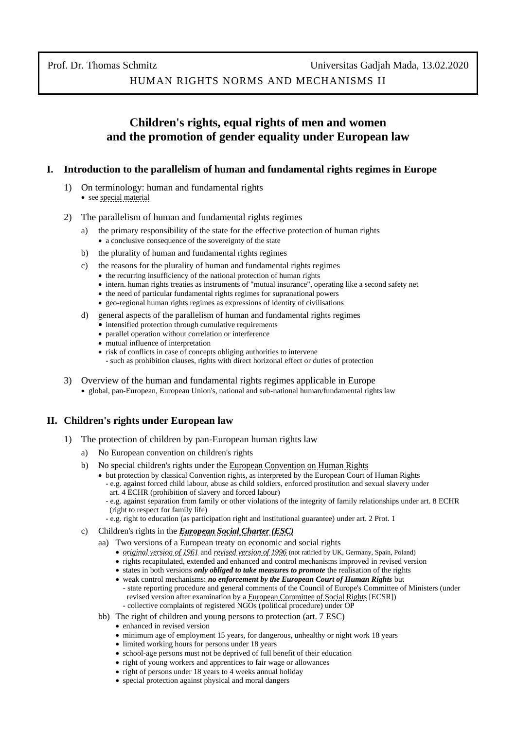# **Children's rights, equal rights of men and women and the promotion of gender equality under European law**

## **I. Introduction to the parallelism of human and fundamental rights regimes in Europe**

- 1) On terminology: human and fundamental rights • see [special material](http://www.thomas-schmitz-yogyakarta.id/Downloads/Schmitz_HRNM-II_terminology.pdf)
- 2) The parallelism of human and fundamental rights regimes
	- a) the primary responsibility of the state for the effective protection of human rights • a conclusive consequence of the sovereignty of the state
	- b) the plurality of human and fundamental rights regimes
	- c) the reasons for the plurality of human and fundamental rights regimes
		- the recurring insufficiency of the national protection of human rights
		- intern. human rights treaties as instruments of "mutual insurance", operating like a second safety net
		- the need of particular fundamental rights regimes for supranational powers
		- geo-regional human rights regimes as expressions of identity of civilisations
	- d) general aspects of the parallelism of human and fundamental rights regimes
		- intensified protection through cumulative requirements
		- parallel operation without correlation or interference
		- mutual influence of interpretation
		- risk of conflicts in case of concepts obliging authorities to intervene
		- such as prohibition clauses, rights with direct horizonal effect or duties of protection
- 3) Overview of the human and fundamental rights regimes applicable in Europe • global, pan-European, European Union's, national and sub-national human/fundamental rights law

## **II. Children's rights under European law**

- 1) The protection of children by pan-European human rights law
	- a) No European convention on children's rights
	- b) No special children's rights under th[e European Convention on Human Rights](https://www.echr.coe.int/Pages/home.aspx?p=basictexts/convention)
		- but protection by classical Convention rights, as interpreted by the European Court of Human Rights - e.g. against forced child labour, abuse as child soldiers, enforced prostitution and sexual slavery under art. 4 ECHR (prohibition of slavery and forced labour)
			- e.g. against separation from family or other violations of the integrity of family relationships under art. 8 ECHR (right to respect for family life)
			- e.g. right to education (as participation right and institutional guarantee) under art. 2 Prot. 1
	- c) Children's rights in the *[European Social Charter \(ESC\)](https://www.coe.int/en/web/european-social-charter)*
		- aa) Two versions of a European treaty on economic and social rights
			- *[original version of 1961](https://www.coe.int/en/web/conventions/full-list/-/conventions/treaty/035)* and *[revised version of 1996](https://www.coe.int/en/web/conventions/full-list/-/conventions/treaty/163)* (not ratified by UK, Germany, Spain, Poland)
			- rights recapitulated, extended and enhanced and control mechanisms improved in revised version
			- states in both versions *only obliged to take measures to promote* the realisation of the rights
			- weak control mechanisms: *no enforcement by the European Court of Human Rights* but - state reporting procedure and general comments of the Council of Europe's Committee of Ministers (under revised version after examination by [a European Committee of Social Rights](https://www.coe.int/en/web/european-social-charter/european-committee-of-social-rights) [ECSR]) - collective complaints of registered NGOs (political procedure) under OP
		- bb) The right of children and young persons to protection (art. 7 ESC)
			- enhanced in revised version
			- minimum age of employment 15 years, for dangerous, unhealthy or night work 18 years
			- limited working hours for persons under 18 years
			- school-age persons must not be deprived of full benefit of their education
			- right of young workers and apprentices to fair wage or allowances
			- right of persons under 18 years to 4 weeks annual holiday
			- special protection against physical and moral dangers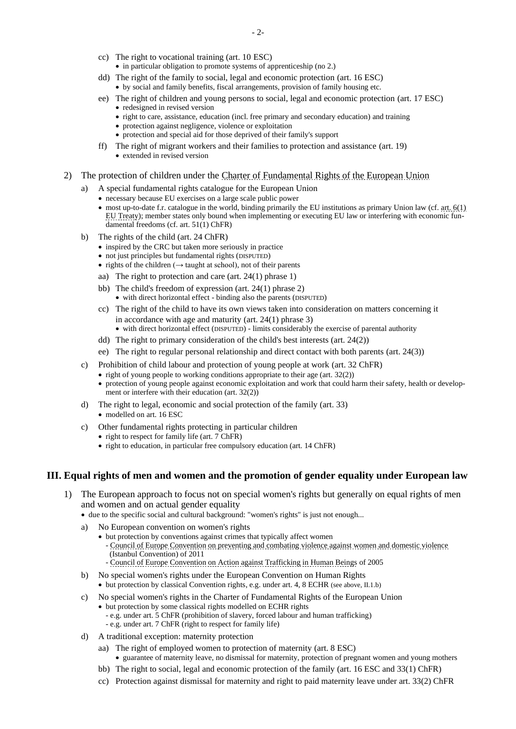- cc) The right to vocational training (art. 10 ESC) • in particular obligation to promote systems of apprenticeship (no 2.)
- dd) The right of the family to social, legal and economic protection (art. 16 ESC) • by social and family benefits, fiscal arrangements, provision of family housing etc.
- ee) The right of children and young persons to social, legal and economic protection (art. 17 ESC)
	- redesigned in revised version
	- right to care, assistance, education (incl. free primary and secondary education) and training
	- protection against negligence, violence or exploitation
	- protection and special aid for those deprived of their family's support
- ff) The right of migrant workers and their families to protection and assistance (art. 19) • extended in revised version
- 2) The protection of children under the [Charter of Fundamental Rights of the European Union](https://eur-lex.europa.eu/legal-content/EN/TXT/HTML/?uri=CELEX:12012P/TXT&from=DE)
	- a) A special fundamental rights catalogue for the European Union
		- necessary because EU exercises on a large scale public power
		- most up-to-date f.r. catalogue in the world, binding primarily the EU institutions as primary Union law (cf. art.  $6(1)$ ) EU [Treaty\)](https://eur-lex.europa.eu/legal-content/EN/TXT/HTML/?uri=CELEX:12012M/TXT&from=DE); member states only bound when implementing or executing EU law or interfering with economic fundamental freedoms (cf. art. 51(1) ChFR)
	- b) The rights of the child (art. 24 ChFR)
		- inspired by the CRC but taken more seriously in practice
		- not just principles but fundamental rights (DISPUTED)
		- rights of the children ( $\rightarrow$  taught at school), not of their parents
		- aa) The right to protection and care (art. 24(1) phrase 1)
		- bb) The child's freedom of expression (art. 24(1) phrase 2) • with direct horizontal effect - binding also the parents (DISPUTED)
		- cc) The right of the child to have its own views taken into consideration on matters concerning it in accordance with age and maturity (art. 24(1) phrase 3) • with direct horizontal effect (DISPUTED) - limits considerably the exercise of parental authority
		- dd) The right to primary consideration of the child's best interests (art. 24(2))
		-
		- ee) The right to regular personal relationship and direct contact with both parents (art. 24(3))
	- c) Prohibition of child labour and protection of young people at work (art. 32 ChFR)
		- right of young people to working conditions appropriate to their age (art. 32(2))
			- protection of young people against economic exploitation and work that could harm their safety, health or development or interfere with their education (art. 32(2))
	- d) The right to legal, economic and social protection of the family (art. 33) • modelled on art. 16 ESC
	- c) Other fundamental rights protecting in particular children
		- right to respect for family life (art. 7 ChFR)
		- right to education, in particular free compulsory education (art. 14 ChFR)

#### **III. Equal rights of men and women and the promotion of gender equality under European law**

- 1) The European approach to focus not on special women's rights but generally on equal rights of men and women and on actual gender equality
	- due to the specific social and cultural background: "women's rights" is just not enough...
	- No European convention on women's rights
		- but protection by conventions against crimes that typically affect women - [Council of Europe Convention on preventing and combating violence against women and domestic violence](https://www.coe.int/en/web/istanbul-convention/about-the-convention)   [\(Istanbul Convention\)](https://www.coe.int/en/web/istanbul-convention/about-the-convention) of 2011
		- [Council of Europe Convention on Action against Trafficking in Human Beings](https://www.coe.int/en/web/anti-human-trafficking/about-the-convention) of 2005
	- b) No special women's rights under the [European Convention on Human Rights](https://www.echr.coe.int/Pages/home.aspx?p=basictexts/convention) • but protection by classical Convention rights, e.g. under art. 4, 8 ECHR (see above, II.1.b)
	- c) No special women's rights in the [Charter of Fundamental Rights of the European Union](https://eur-lex.europa.eu/legal-content/EN/TXT/HTML/?uri=CELEX:12012P/TXT&from=DE)
		- but protection by some classical rights modelled on ECHR rights
			- e.g. under art. 5 ChFR (prohibition of slavery, forced labour and human trafficking)
		- e.g. under art. 7 ChFR (right to respect for family life)
	- d) A traditional exception: maternity protection
		- aa) The right of employed women to protection of maternity (art. 8 ESC)
			- guarantee of maternity leave, no dismissal for maternity, protection of pregnant women and young mothers
		- bb) The right to social, legal and economic protection of the family (art. 16 ESC and 33(1) ChFR)
		- cc) Protection against dismissal for maternity and right to paid maternity leave under art. 33(2) ChFR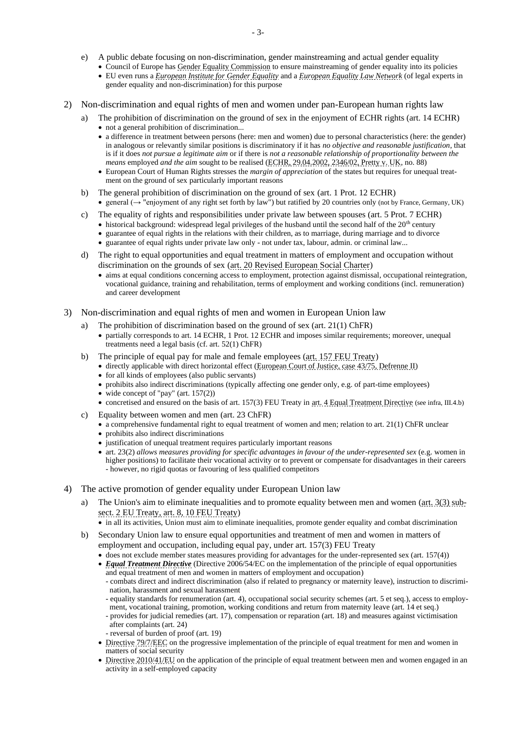- Council of Europe has [Gender Equality Commission](https://www.coe.int/en/web/genderequality/gender-equality-commission) to ensure mainstreaming of gender equality into its policies
- EU even runs a *[European Institute for Gender Equality](https://eige.europa.eu/about)* and a *[European Equality Law Network](https://www.equalitylaw.eu/publications/law-reviews)* (of legal experts in gender equality and non-discrimination) for this purpose
- 2) Non-discrimination and equal rights of men and women under pan-European human rights law
	- a) The prohibition of discrimination on the ground of sex in the enjoyment of ECHR rights (art. 14 ECHR) • not a general prohibition of discrimination...
		- a difference in treatment between persons (here: men and women) due to personal characteristics (here: the gender) in analogous or relevantly similar positions is discriminatory if it has *no objective and reasonable justification*, that is if it does *not pursue a legitimate aim* or if there is *not a reasonable relationship of proportionality between the means* employed *and the aim* sought to be realised [\(ECHR, 29.04.2002, 2346/02, Pretty v. UK,](http://hudoc.echr.coe.int/eng?i=001-60448) no. 88)
		- European Court of Human Rights stresses the *margin of appreciation* of the states but requires for unequal treatment on the ground of sex particularly important reasons
	- b) The general prohibition of discrimination on the ground of sex (art. 1 Prot. 12 ECHR)
		- general (→ "enjoyment of any right set forth by law") but ratified by 20 countries only (not by France, Germany, UK)
	- c) The equality of rights and responsibilities under private law between spouses (art. 5 Prot. 7 ECHR)
		- $\bullet$  historical background: widespread legal privileges of the husband until the second half of the 20<sup>th</sup> century
		- guarantee of equal rights in the relations with their children, as to marriage, during marriage and to divorce
		- guarantee of equal rights under private law only not under tax, labour, admin. or criminal law...
	- d) The right to equal opportunities and equal treatment in matters of employment and occupation without discrimination on the grounds of sex [\(art. 20 Revised European Social Charter\)](https://www.coe.int/en/web/conventions/full-list/-/conventions/rms/090000168007cf93)
		- aims at equal conditions concerning access to employment, protection against dismissal, occupational reintegration, vocational guidance, training and rehabilitation, terms of employment and working conditions (incl. remuneration) and career development
- 3) Non-discrimination and equal rights of men and women in European Union law
	- The prohibition of discrimination based on the ground of sex (art.  $21(1)$  ChFR)
		- partially corresponds to art. 14 ECHR, 1 Prot. 12 ECHR and imposes similar requirements; moreover, unequal treatments need a legal basis (cf. art. 52(1) ChFR)
	- b) The principle of equal pay for male and female employees [\(art. 157 FEU Treaty\)](https://eur-lex.europa.eu/legal-content/EN/TXT/HTML/?uri=CELEX:12012E/TXT&from=DE)
		- directly applicable with direct horizontal effect [\(European Court of Justice, case 43/75, Defrenne II\)](https://eur-lex.europa.eu/legal-content/EN/TXT/HTML/?uri=CELEX:61975CJ0043&from=EN)
		- for all kinds of employees (also public servants)
		- prohibits also indirect discriminations (typically affecting one gender only, e.g. of part-time employees)
		- wide concept of "pay" (art. 157(2))
		- concretised and ensured on the basis of art. 157(3) FEU Treaty i[n art. 4 Equal Treatment Directive](https://eur-lex.europa.eu/legal-content/EN/TXT/HTML/?uri=CELEX:32006L0054&qid=1580882593362&from=EN#d1e624-23-1) (see infra, III.4.b)
	- c) Equality between women and men (art. 23 ChFR)
		- a comprehensive fundamental right to equal treatment of women and men; relation to art. 21(1) ChFR unclear
		- prohibits also indirect discriminations
		- justification of unequal treatment requires particularly important reasons
		- art. 23(2) *allows measures providing for specific advantages in favour of the under-represented sex* (e.g. women in higher positions) to facilitate their vocational activity or to prevent or compensate for disadvantages in their careers - however, no rigid quotas or favouring of less qualified competitors
- 4) The active promotion of gender equality under European Union law
	- a) The Union's aim to eliminate inequalities and to promote equality between men and women [\(art. 3\(3\) sub](https://eur-lex.europa.eu/legal-content/EN/TXT/?uri=CELEX%3A12012M%2FTXT)[sect. 2 EU Treaty,](https://eur-lex.europa.eu/legal-content/EN/TXT/?uri=CELEX%3A12012M%2FTXT) art. 8, 10 [FEU Treaty\)](https://eur-lex.europa.eu/legal-content/DE/TXT/?uri=CELEX:12012E/TXT)
		- in all its activities, Union must aim to eliminate inequalities, promote gender equality and combat discrimination
	- b) Secondary Union law to ensure equal opportunities and treatment of men and women in matters of employment and occupation, including equal pay, under art. 157(3) FEU Treaty
		- does not exclude member states measures providing for advantages for the under-represented sex (art. 157(4))
		- *[Equal Treatment Directive](https://eur-lex.europa.eu/legal-content/EN/TXT/HTML/?uri=CELEX:32006L0054&qid=1580882593362&from=EN#d1e39-23-1)* (Directive 2006/54/EC on the implementation of the principle of equal opportunities and equal treatment of men and women in matters of employment and occupation)
			- combats direct and indirect discrimination (also if related to pregnancy or maternity leave), instruction to discrimi nation, harassment and sexual harassment
			- equality standards for renumeration (art. 4), occupational social security schemes (art. 5 et seq.), access to employ ment, vocational training, promotion, working conditions and return from maternity leave (art. 14 et seq.)
			- provides for judicial remedies (art. 17), compensation or reparation (art. 18) and measures against victimisation after complaints (art. 24)
			- reversal of burden of proof (art. 19)
		- [Directive 79/7/EEC](https://eur-lex.europa.eu/legal-content/EN/TXT/HTML/?uri=CELEX:31979L0007&qid=1580891512434&from=DE) on the progressive implementation of the principle of equal treatment for men and women in matters of social security
		- [Directive 2010/41/EU](https://eur-lex.europa.eu/legal-content/EN/TXT/?qid=1580892254948&uri=CELEX%3A32010L0041) on the application of the principle of equal treatment between men and women engaged in an activity in a self-employed capacity